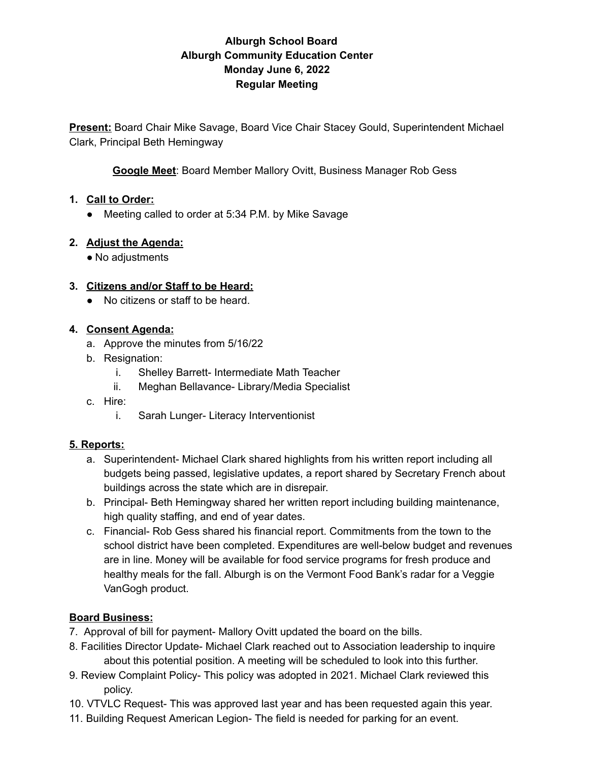## **Alburgh School Board Alburgh Community Education Center Monday June 6, 2022 Regular Meeting**

**Present:** Board Chair Mike Savage, Board Vice Chair Stacey Gould, Superintendent Michael Clark, Principal Beth Hemingway

**Google Meet**: Board Member Mallory Ovitt, Business Manager Rob Gess

#### **1. Call to Order:**

● Meeting called to order at 5:34 P.M. by Mike Savage

#### **2. Adjust the Agenda:**

• No adjustments

#### **3. Citizens and/or Staff to be Heard:**

● No citizens or staff to be heard.

#### **4. Consent Agenda:**

- a. Approve the minutes from 5/16/22
- b. Resignation:
	- i. Shelley Barrett- Intermediate Math Teacher
	- ii. Meghan Bellavance- Library/Media Specialist
- c. Hire:
	- i. Sarah Lunger- Literacy Interventionist

## **5. Reports:**

- a. Superintendent- Michael Clark shared highlights from his written report including all budgets being passed, legislative updates, a report shared by Secretary French about buildings across the state which are in disrepair.
- b. Principal- Beth Hemingway shared her written report including building maintenance, high quality staffing, and end of year dates.
- c. Financial- Rob Gess shared his financial report. Commitments from the town to the school district have been completed. Expenditures are well-below budget and revenues are in line. Money will be available for food service programs for fresh produce and healthy meals for the fall. Alburgh is on the Vermont Food Bank's radar for a Veggie VanGogh product.

## **Board Business:**

- 7. Approval of bill for payment- Mallory Ovitt updated the board on the bills.
- 8. Facilities Director Update- Michael Clark reached out to Association leadership to inquire about this potential position. A meeting will be scheduled to look into this further.
- 9. Review Complaint Policy- This policy was adopted in 2021. Michael Clark reviewed this policy.
- 10. VTVLC Request- This was approved last year and has been requested again this year.
- 11. Building Request American Legion- The field is needed for parking for an event.